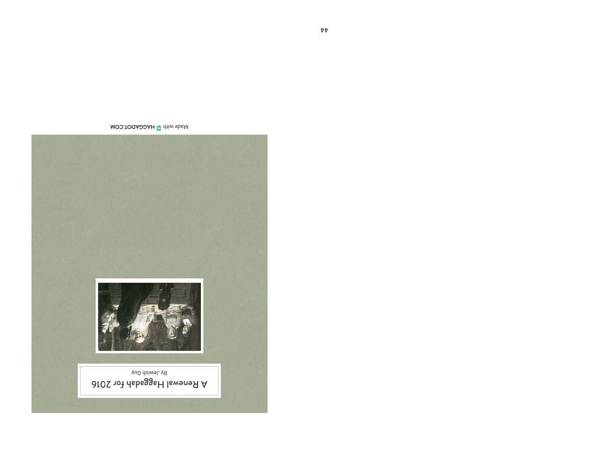





MOO.TOQADOAH Li riiw sbaM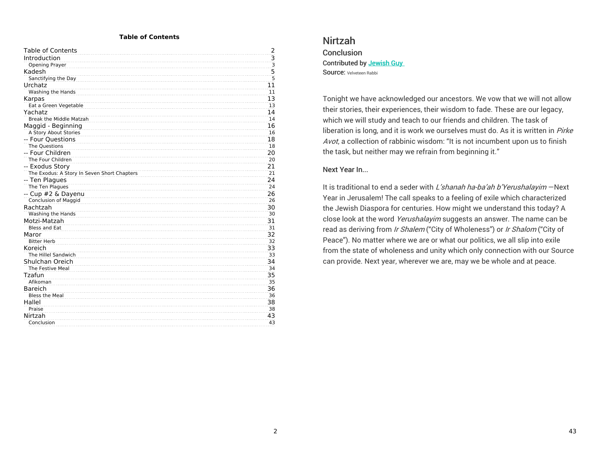#### **Table of Contents**

 $T$  the contract of  $C$ 

| <b>Table of Contents</b>                    | 2              |
|---------------------------------------------|----------------|
| Introduction                                | 3              |
| <b>Opening Prayer</b>                       | $\overline{3}$ |
| Kadesh                                      | 5              |
| Sanctifying the Day                         | $\overline{5}$ |
| Urchatz                                     | 11             |
| Washing the Hands                           | 11             |
| Karpas                                      | 13             |
| Eat a Green Vegetable                       | 13             |
| Yachatz                                     | 14             |
| <b>Break the Middle Matzah</b>              | 14             |
| Maggid - Beginning                          | 16             |
| A Story About Stories                       | 16             |
| -- Four Questions                           | 18             |
| The Questions                               | 18             |
| -- Four Children                            | 20             |
| The Four Children                           | 20             |
| -- Exodus Story                             | 21             |
| The Exodus: A Story In Seven Short Chapters | 21             |
| -- Ten Plagues                              | 24             |
| The Ten Plagues                             | 24             |
| -- Cup #2 & Dayenu                          | 26             |
| <b>Conclusion of Maggid</b>                 | 26             |
| Rachtzah                                    | 30             |
| Washing the Hands                           | 30             |
| Motzi-Matzah                                | 31             |
| <b>Bless and Eat</b>                        | 31             |
| Maror                                       | 32             |
| <b>Bitter Herb</b>                          | 32             |
| Koreich                                     | 33             |
| The Hillel Sandwich                         | 33             |
| Shulchan Oreich                             | 34             |
| The Festive Meal                            | 34             |
| Tzafun                                      | 35             |
| Afikoman                                    | 35             |
| Bareich                                     | 36             |
| <b>Bless the Meal</b>                       | 36             |
| Hallel                                      | 38             |
| Praise                                      | 38             |
| Nirtzah                                     | 43             |
| Conclusion                                  | 43             |

# Nirtzah

**Conclusion** Contributed by Jewish Guy Source: Velveteen Rabbi

Tonight we have acknowledged our ancestors. We vow that we will not allow their stories, their experiences, their wisdom to fade. These are our legacy, which we will study and teach to our friends and children. The task of liberation is long, and it is work we ourselves must do. As it is written in Pirke Avot, a collection of rabbinic wisdom: "It is not incumbent upon us to finish the task, but neither may we refrain from beginning it."

#### Next Year In...

It is traditional to end a seder with L'shanah ha-ba'ah b'Yerushalayim -Next Year in Jerusalem! The call speaks to a feeling of exile which characterized the Jewish Diaspora for centuries. How might we understand this today? A close look at the word Yerushalayim suggests an answer. The name can be read as deriving from Ir Shalem ("City of Wholeness") or Ir Shalom ("City of Peace"). No matter where we are or what our politics, we all slip into exile from the state of wholeness and unity which only connection with our Source can provide. Next year, wherever we are, may we be whole and at peace.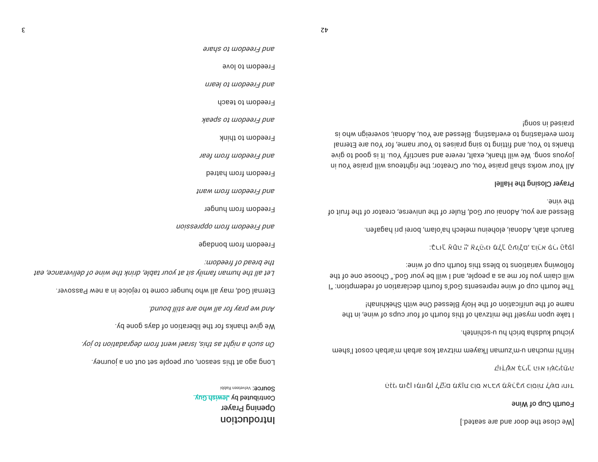[We close the door and are seated.]

## Fourth Cup of Wine

ּינֹנוּ מוּכֿו וּמוּתֿו לַחֲיֵם מֹלֹוֹנוּ כוּם אככה מֹאַכֹּכֿה כּוְסוִינ לַהֵּם וּטוּב

ה**יִ**ת בְּרִיךְ הוּא וּשְׁכִּינְתֵיה ק

mehs'l tosoc hadra'm dayem ayatan mayaxi' namuz'm-u nahom in'ni H

yichud kudsha brich uh u-schini ha

I take upon myself the mitzvah of this idino is in the introduce, in the Infeni han in heigen betwenden beseeld wen hehr in hehr in hehr in the manner in the manner in the manner in t

I" : noit qmeber to noit ar abresents cloop are also need and tread throit of I will claim you for me as a people, and I will be your God." Choose one of the : buiw to quo dtuot sidt aseld ot anoitainsv pniwollot

ָ:כֿנוּ אֲמָט הָ אֶבָטוּנוּ מָבָר טַתוּבָם יכונת כֹּנוּ טַלּכּוֹ

Baruch atah, Adonai, eloheinu melech ha'olam, borei pri hagafen.

Blessed are you, Adonai our God, Ruler of the universe, creator of the fruit of the vine.

## Prayer Closing the Hallel

All Your works shall praise You, our Creator; the righteous will praise You in joyous song. We will thank, exalt, revere and sanctify You. It is good to give l anr et a von, and fitting to the sesignal praises to You are Eternal from everlasting to everlasting. Blessel are You, Adonai, sovereign who is ipnos ui besisiq

## ntroduction Opening Prayer Contributed by Jewish Guy Source: Velveteen Rabbi

Long ago at this season, our people set out on a journey.

 $\alpha$ ol o $\mu$  uoit abababan di kara lasar si kata satu satu satu no lol of noite para sub-

. Yd enog syab to noits adil eht rot akade by e

 $\gamma$ punoq llits ə $\alpha$ e oy $\kappa$  lle  $\iota$ oy  $\kappa$ e $\iota$ d əm $\kappa$ 

Eternal God, may all who hunger come to rejoice in a new Passover.

Let all the human family sit at your table, drink the wine of deliverance, eat :uopəə.y jo peə.ıq əyi

Freedom from bondage

noissə.iddo mont mobəər-i bir

Freedom from hunger

t na many modern want

berted mort mobeer

reagony woods rear.

Freedom to think

keads of mobeer and b

Freedom to teach

alleal of mobaal-l bne

Preedom to love

eregon up also an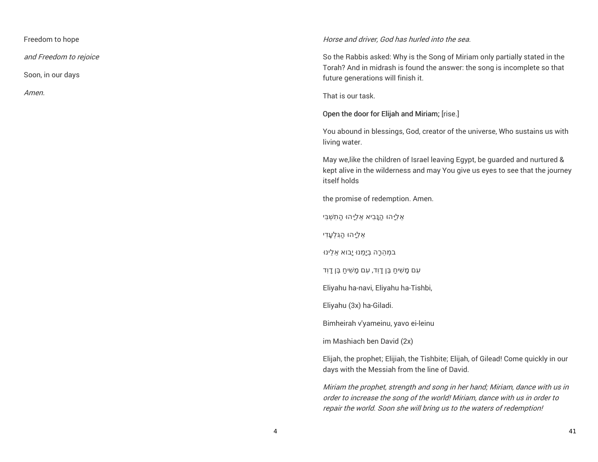Freedom to hope

and Freedom to rejoice

Soon, in our days

Amen.

### Horse and driver, God has hurled into the sea.

So the Rabbis asked: Why is the Song of Miriam only partially stated in the Torah? And in midrash is found the answer: the song is incomplete so that future generations will finish it.

That is our task.

### Open the door for Elijah and Miriam; [rise.]

You abound in blessings, God, creator of the universe, Who sustains us with living water.

May we,like the children of Israel leaving Egypt, be guarded and nurtured & kept alive in the wilderness and may You give us eyes to see that the journey itself holds

the promise of redemption. Amen.

ֵאלִָיּהוּ ַהָנּבִיא ֵאלִָיּהוּ ַהתִ ְשׁ ִבּי

ֵאלִָיּהוּ ַה ִגּלְ ָע ִדי

ָבְמְהָרָה בְיַמְנוּ יַבוא אֶלֵינוּ

ּעִם מָשִׁיחַ בֶּן דָוִד, עִם מָשִׁיחַ בֶּן דָוִד

Eliyahu ha-navi, Eliyahu ha-Tishbi,

Eliyahu (3x) ha-Giladi.

Bimheirah v'yameinu, yavo ei-leinu

im Mashiach ben David (2x)

Elijah, the prophet; Elijiah, the Tishbite; Elijah, of Gilead! Come quickly in our days with the Messiah from the line of David.

Miriam the prophet, strength and song in her hand; Miriam, dance with us in order to increase the song of the world! Miriam, dance with us in order to repair the world. Soon she will bring us to the waters of redemption!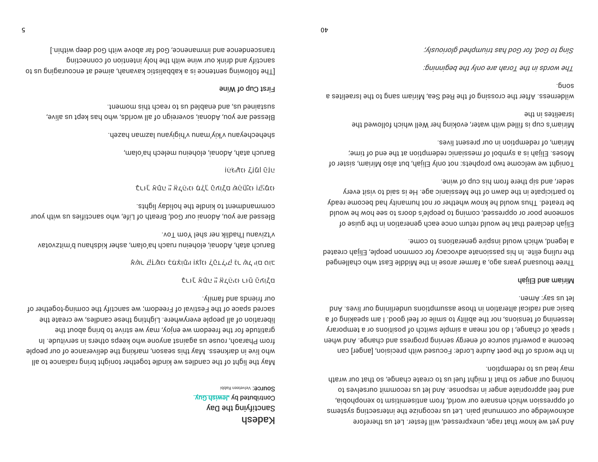may lead us to redemption. honing our anger so that it might fuel us to create change, so that our wrath ot sevles uo timmose anger in response. And let us recommit ourselves to ef oppression which ensnare our world, from antisemitism to xenophobia, acknowledge our communal pain. Let us recognize the intersecting systems And yet we know that rage, unexpressed, will fester. Let us therefore

let us say: Amen. bnA . asvil nuo pninihabnu anoitqmuaza saont ni noitsistla laoibat bna oiasd le to pringe of tensions, nor the ability to simile or feel good. I am speaking of a I speak of change, I do not mean a simple switch of positions or a temporary become a powerful source of energy serving progress and change. And when In the words of the poet Audre Lorde: Focused with precision, langer] can

### dsjil3 bns msiniM

a legend, which would inspire generations to come. the ruling elite. In his passionate advocacy for common people, Elijah created Three thousand years ago, a farmer arose in the Middle East who challenged

seder, and sip there from his cup of wine. to paricipate in the dawn of the Messianic age. He is said to visit every be treated. Thus would he know whether or not humanity had become ready someone poor or oppressed, coming to people's doors to see how he would Elijah declared that he would return once each generation in the guise of

.esvil treasenq uo ni noitqmeben to mainiM Noses. Elijah is a symbol of messianic redemption at the end of time; Tonight we welcome two prophets: not only Elijah, but also Miriam, sister of

Israelites in the Miriam's cup is filled with water, evoking her Well which followed the

·buos wilderness. After the crossing of the Red Sea, Miriam sang to the Israelites a

:Бијишјбәq әу $\iota$  Лио әле үело $\iota$  әу $\iota$  иј ѕрлом әу $\iota$ 

://isnouoj6 pəydumu1 sey po9 Jo1 'po9 o1 buis

**Source: Velveteen Rabbi** Contributed by Jewish Guy Sanctifying the Day **цеарея** 

ylimst bns abneitt uo. sacred space of the Festival of Freedom; we sanctify the coming-together of liberation of all people everywhere. Lighting these candles, we create the gratitude for the freedom we enjoy, may we strive to bring about the from Pharaoh, rouse us against anyone who keeps others in servitude. In who live in darkness. May this season, marking the deliverance of our people May the light of the candles we kindle together tonight bring radiance to all

כֿנוֹ לֹמֹט ה אֶבְטּתוּ כוּם פֿמוְלָם

גֹאֶר הַדָּשׁה בְּמִצְּוֹתַיוּ וְצוֹנוּ לְהַדלִיק נֵר שֶׁל יוֹם טוב

voT moY leda ien xilbad'l unsvist'v. Baruch atah, Adonai, eloheinu ruach ha'olam, asher kidshanu b'mitzvotav

commandment to kindle the holiday lights. Blessed are you, Adonai our God, Breath of Life, who sanctifies us with your

כֿנוּ לֹמַט ה אֶבְטּתוּ מֹבְן פֿמוְבָם הִמְטֹמֹתוּ וֹבוּתׁתוּ

ietīnti zitil eie

Baruch atah, Adonai, eloheinu melech ha'olam,

shehecheyanu v'kiy'manu v'higiyanu lazman hazeh.

tramom sidt doset of au beldsne bns , au benistaus. Blessed are you, Adonai, sovereign of all worlds, who has kept us alive,

#### First Cup of Wine

I.nidtiw qeeb boo dtiw evods ast boo , eonenami bns eonebneoznat sanctify and drink our wine with the holy intention of connecting Of au priends as is bamis that is ledded as a sonather of the forcouraging us to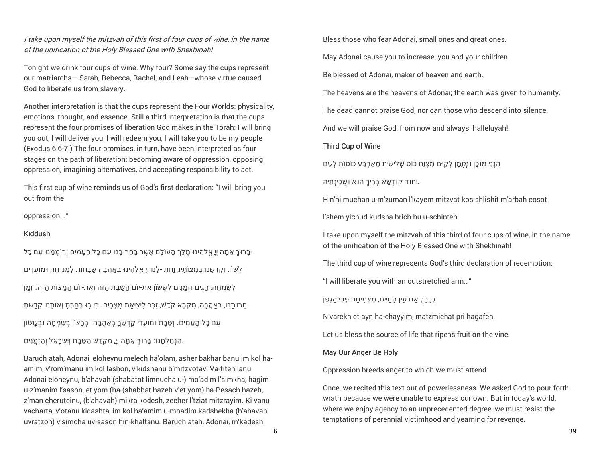I take upon myself the mitzvah of this first of four cups of wine, in the name of the unification of the Holy Blessed One with Shekhinah!

Tonight we drink four cups of wine. Why four? Some say the cups represent our matriarchs— Sarah, Rebecca, Rachel, and Leah—whose virtue caused God to liberate us from slavery.

Another interpretation is that the cups represent the Four Worlds: physicality, emotions, thought, and essence. Still a third interpretation is that the cups represent the four promises of liberation God makes in the Torah: I will bring you out, I will deliver you, I will redeem you, I will take you to be my people (Exodus 6:6-7.) The four promises, in turn, have been interpreted as four stages on the path of liberation: becoming aware of oppression, opposing oppression, imagining alternatives, and accepting responsibility to act.

This first cup of wine reminds us of God's first declaration: "I will bring you out from the

oppression..."

### Kiddush

ָלָשׁוֹן, וְקִדְשָׁנוּ בְמִצְוֹתָיו, וַתִתֶן-לָנוּ ייֱ אֱלֹהֵינוּ בְאַהֲבָה שַבָתוֹת לִמְנוּחֶה וּמוֹעֲדִים ָבְרוּךָ אתַה ייַ אֱלֹהֵינוּ מֶלֶךְ הַעוֹלָם אֲשֶר בָחַר בָנוּ עִם כָל הַעֲמִים וְרוֹמְמָנוּ עִם כָל-לְשְׁמְחָה, חֲגִים וּזְמַנִים לְשָשׂוֹן אֶת-יוֹם הַשֲבָת הַזֶה וְאֶת-יוֹם הַמַּצוֹת הַזֶה. זְמַן ֵחרוּתֵנוּ, בְ ַא ֲהבָה, ִמ ְקרָא ֹק ֶדשׁ, זֵכֶר לִיצִי ַאת ִמצְרָיִם. כִי בָוּ בָ ַחרְתָ וְא ֹותָנוּ ִקַד ְשתָ ּעִם כָל-הָעַמִים. וְשַבָת וּמוֹעֲדֵי קֵדְשֶׁךָ בְאַהֲבָה וּבְרָצוֹן בְשְׁמְחָה וּבְשָשׂוֹן

ְהִנְחַלְתָנוּ: בָרוּךְ אַתָה יְיָ, מְקַדֵשׁ הַשַּבָת וְיִשְרָאֵל וְהַזְמֵנִים.

Baruch atah, Adonai, eloheynu melech ha'olam, asher bakhar banu im kol haamim, v'rom'manu im kol lashon, v'kidshanu b'mitzvotav. Va-titen lanu Adonai eloheynu, b'ahavah (shabatot limnucha u-) mo'adim l'simkha, hagim u-z'manim l'sason, et yom (ha-(shabbat hazeh v'et yom) ha-Pesach hazeh, z'man cheruteinu, (b'ahavah) mikra kodesh, zecher l'tziat mitzrayim. Ki vanu vacharta, v'otanu kidashta, im kol ha'amim u-moadim kadshekha (b'ahavah uvratzon) v'simcha uv-sason hin-khaltanu. Baruch atah, Adonai, m'kadesh

Bless those who fear Adonai, small ones and great ones.

May Adonai cause you to increase, you and your children

Be blessed of Adonai, maker of heaven and earth.

The heavens are the heavens of Adonai; the earth was given to humanity.

The dead cannot praise God, nor can those who descend into silence.

And we will praise God, from now and always: halleluyah!

### Third Cup of Wine

הנְנִי מוּכֵן וּמְזָמֵן לְקִיּם מִצְוֹת כּוֹס שְׁלִישִׁית מַארְבַּע כּוֹסוֹת לְשׁם

.יִחוּד קוּ ְד ָשא בְרִיךְהוּא וּ ְשכִינְתֵיהּ

Hin'hi muchan u-m'zuman l'kayem mitzvat kos shlishit m'arbah cosot

l'shem yichud kudsha brich hu u-schinteh.

I take upon myself the mitzvah of this third of four cups of wine, in the name of the unification of the Holy Blessed One with Shekhinah!

The third cup of wine represents God's third declaration of redemption:

"I will liberate you with an outstretched arm…"

נְבָרֵךְ אֶת עֵין הָחַיִּים, מָצְמִיחַת פְרִי הַגָּפֶן.

N'varekh et ayn ha-chayyim, matzmichat pri hagafen.

Let us bless the source of life that ripens fruit on the vine.

#### May Our Anger Be Holy

Oppression breeds anger to which we must attend.

Once, we recited this text out of powerlessness. We asked God to pour forth wrath because we were unable to express our own. But in today's world, where we enjoy agency to an unprecedented degree, we must resist the temptations of perennial victimhood and yearning for revenge.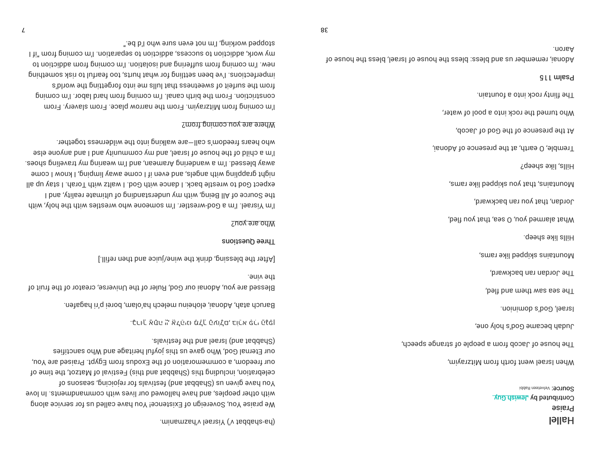Source: Velveteen Rabbi Contributed by Jewish Guy Praise **Hallell** 

who turned the rock into a pool of water, At the presence of the God of Jacob, Tremble, O earth, at the presence of Adonai, Hills, like sheep? Mountains, that you skipped like rams, Jordan, that you ran backward, What alarmed you, O sea, that you fled, Hills like sheep. Mountains skipped like rams, The Jordan ran backward,  $\mu$  pall bns mant wes ses and Israel, God's dominion. Judah became God's holy one, The house of Jacob from a people of strange speech, mitzrayim, mont forth from Mitzrayim,

The flinty rock into a fountain.

#### **GIL** wiesd

.no16A Adonai, remember us and bless: bless the house of Israel, bless the house of

.minsmssh'v lessiy ('v tsddshe-sh)

slavitest ant bns lestel (bns teddan?). our Eternal God, Who gave us this joyful heritage and Who sanctifies our freedom, a commemoration of the Exodus from Egypt. Praised are You, to smit sht, tostsM to lsvites (aidt bns tsddard) aidt pnibuloni moitsrideleo To anosses priolojer tot alsvitest (bns taddad2) au nevig evad uoY with other peoples, and have hallowed our lives with commandments. In love We praise You, Sovereign of Existence! You have called us for service along

∵כֿנוּڬ אَמֿני ה' אֶבְטוּנוּ מֹבְ֫ڬ פֿתוּבְם בוִכֹא כֹּנוּ פֿלפֿا

Baruch atah, Adonai, eloheinu melech ha'olam, borei p'ri hagaten.

the vine. Blessed are you, Adonai our God, Ruler of the Universe, creator of the fruit of

[.llifer the blessing, drink the wine/juice and then refill]

## Three Questions

## <u>Who are you?</u>

who hears freedom's call-are walking into the wilderness together. Pape and of the house of Israel, and my community and I and anyone else eboda prilevist ym prinsew m'l bris naemst Apritebris is m'l besseld ysws. night grappling with angels, and even if I come away limping, I know I come lls qu vsta I . dstoT dtiw stlsw I .boO dtiw sonsb I . Absd sltsetw ot boO tosqxs The Source of All Being, with my understanding of ultimate reality, and I I'm Yisrael. I'm a God-wrestler. I'm someone who wrestles with the holy, with

## Where are you coming from?

".ad b'l onw enus neve ton m'l ,pnixiow beqqota I ii" mont painop to esses, addiction to separation. I'm coming from "if I of noifoibbe mont pnimop m'l noifeloai bne pnineithe mont pnimop m'l wen imperfections. I've been settling for what hurts, too fearful to risk something rom the surfeit of sweetness that lulls me into forgetting the world's constriction. From the birth canal. I'm coming from hard labor. I'm coming I'm coming from Mitzrayim. From the narrow place. From slavery. From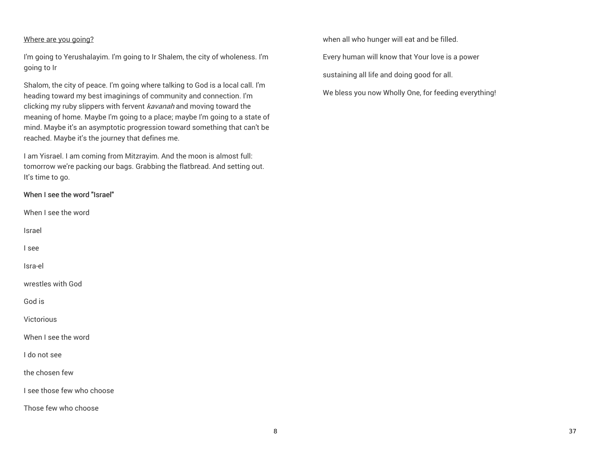## Where are you going?

I'm going to Yerushalayim. I'm going to Ir Shalem, the city of wholeness. I'm going to Ir

Shalom, the city of peace. I'm going where talking to God is a local call. I'm heading toward my best imaginings of community and connection. I'm clicking my ruby slippers with fervent kavanah and moving toward the meaning of home. Maybe I'm going to a place; maybe I'm going to a state of mind. Maybe it's an asymptotic progression toward something that can't be reached. Maybe it's the journey that defines me.

I am Yisrael. I am coming from Mitzrayim. And the moon is almost full: tomorrow we're packing our bags. Grabbing the flatbread. And setting out. It's time to go.

# When I see the word "Israel"

| When I see the word        |
|----------------------------|
| Israel                     |
| l see                      |
| Isra-el                    |
| wrestles with God          |
| God is                     |
| Victorious                 |
| When I see the word        |
| I do not see               |
| the chosen few             |
| I see those few who choose |
| Those few who choose       |

when all who hunger will eat and be filled.

Every human will know that Your love is a power

sustaining all life and doing good for all.

We bless you now Wholly One, for feeding everything!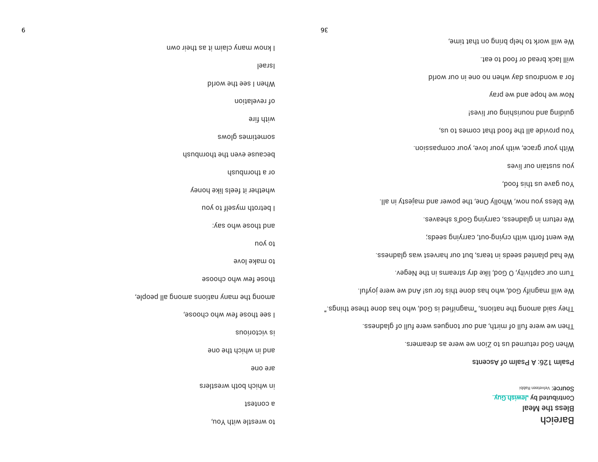We will work to help bring on that time, I know many claim it as their own will lack bread or food to eat. lsrael for a wondrous day when no one in our world Now we hope and we pray guiding and pourishing our lives! you provide all the foot ship comes to us, With your grace, with your love, your compassion. you sustano que lives Poot aidt au evap uoY We bless you now, Wholly One, the power and bajesty in all. We return in gladness, carrying God's sheaves. We went forth with crying-out, carrying seeds; we had planted seeds in tears, but our harvest was gladness. Turn our captivity, O God, like dry streams in the Negev. . lutyoj erew ew bnA !au 101 aidt enob aad odw ,boO ytinpam lliw eW ". agnidt seedt snob zad odw boo ai beitingam" anoitan sdt pnoma bias vedT Then we were full of mirth, and our tongues were full of gladness. When God returned us to Zion we were as dreamers. Psalm 126: A Psalm of Ascents Source: Velveteen Rabbi Contributed by Jewish Guy **BoM** edt asela

**Bareich** 

98

When I see the world noitalever to with fire swolp semitemos because even the thornbush or a thornbush whether it feels like honey I betroth myself to you : ves ouw əsoyi pue to you to make love those few who choose alqosq lls pnoms anoitan vnsm sll people, l see those few who choose, zuoitotoiv ai and in which the one are one in which both wrestlers a contest

to wrestle with You,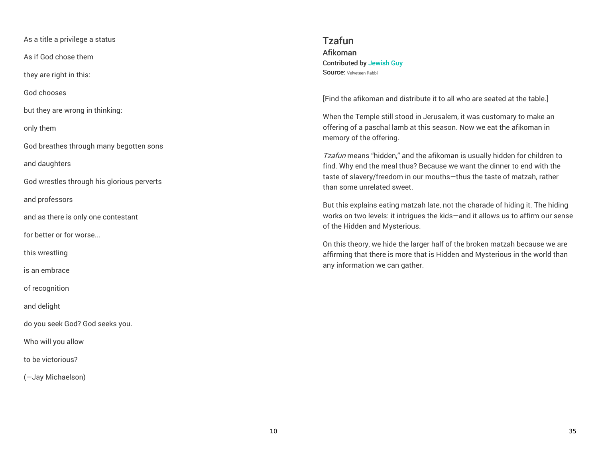As a title a privilege a status As if God chose them they are right in this: God chooses but they are wrong in thinking: only them God breathes through many begotten sons and daughters God wrestles through his glorious perverts and professors and as there is only one contestant for better or for worse... this wrestling is an embrace of recognition and delight do you seek God? God seeks you. Who will you allow to be victorious? (—Jay Michaelson)

Tzafun Afikoman Contributed by Jewish Guy Source: Velveteen Rabbi

[Find the afikoman and distribute it to all who are seated at the table.]

When the Temple still stood in Jerusalem, it was customary to make an offering of a paschal lamb at this season. Now we eat the afikoman in memory of the offering.

Tzafun means "hidden," and the afikoman is usually hidden for children to find. Why end the meal thus? Because we want the dinner to end with the taste of slavery/freedom in our mouths—thus the taste of matzah, rather than some unrelated sweet.

But this explains eating matzah late, not the charade of hiding it. The hiding works on two levels: it intrigues the kids—and it allows us to affirm our sense of the Hidden and Mysterious.

On this theory, we hide the larger half of the broken matzah because we are affirming that there is more that is Hidden and Mysterious in the world than any information we can gather.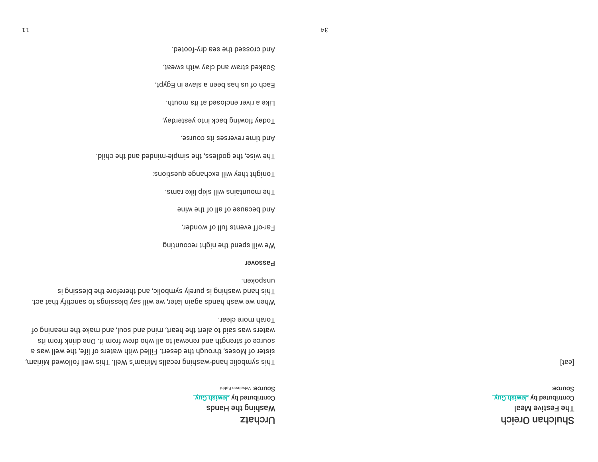# Source: Contributed by Jewish Guy The Festive Meal Shulchan Oreich

 $[169]$ 

## Source: Velveteen Rabbi Contributed by Jewish Guy Washing the Hands Urchatz

Torah more clear. to pninsem edt saken bns , luos bns bnim, theed edt theirs are resew and the ati mont anith and the new alls of lawener bns dtpnents to ecruce sister of Moses, through the desert. Filled with waters of life, the well was a This symbolic hand-washing recalls Miriam's Well. This well followed Miriam,

ruayodsun This bleaseld ship as purely symbolic, and therefore the blessing is When we wash hands again later, we will say blessings to sanctify that act.

### Passover

We will spend the night recounting

Far-off events full of wonder,

And because of all of the wine

The mountains will skip like rams.

Tonight they will exchange questions:

The wise, the godless, the simple-minded and the child.

And time reverses its course,

Today flowing back into yesterday,

Like a river enclosed at its mouth.

Each of us has been a slave in Egypt,

Soaked straw and clay with sweat,

And crossed the sea dry-footed.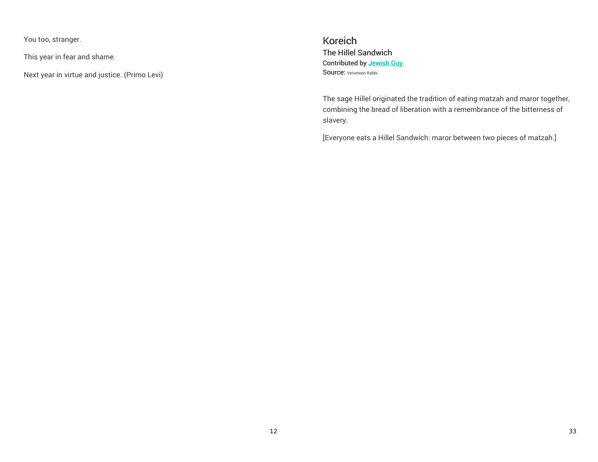You too, stranger.

This year in fear and shame.

Next year in virtue and justice. (Primo Levi)

Koreich The Hillel Sandwich Contributed by Jewish Guy Source: Velveteen Rabbi

The sage Hillel originated the tradition of eating matzah and maror together, combining the bread of liberation with a remembrance of the bitterness of slavery.

[Everyone eats a Hillel Sandwich: maror between two pieces of matzah.]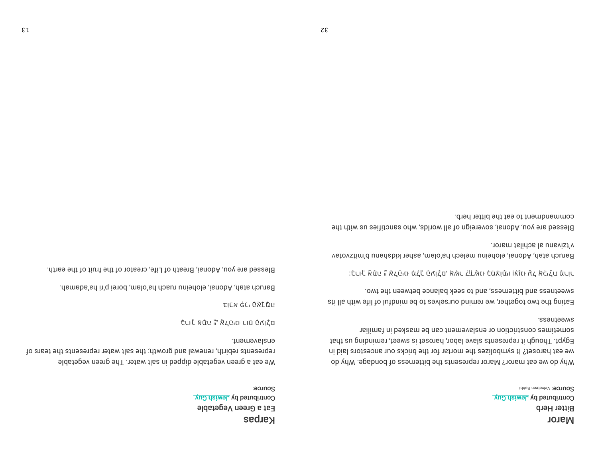Source: Velveteen Rabbi Contributed by Jewish Guy **Bitter Herb Naror** 

ssentess. sometimes constriction or enslavement can be masked in familiar Egypt. Though it represents slave labor, haroset is sweet, reminding us that mi bial aroset? It symbolizes the mortar for the bricks our ancestors laid in Why do we eat maror? Maror represents the bitterness of bondage. Why do

owt ont neewtod opneled hees of bns , esemettid bns eeenteewe. Eating the two together, we remind ourselves to be mindful of life with all its

:כֿנוּ עֵׁ אֲפֿני הֵ אֶלהַינוּ מָלֶךְ הַעוֹלָם, אֶשֶׁר קַדָּשָׁנוּ בְמִצְוֹתָיוּ וְצִוָנוּ עַל אֲכִילַת מָרוֹר

. nonem telinos la unavist'v Varovatim'd unarishi telohinu melech ha'olam, asher kidshanu b'mitzvotav

commandment to eat the bitter herb. Blessed are you, Adona, sovereign of all worlds, who sanctifies us with the

Source: Contributed by Jewish Guy Eat a Green Vegetable Karpas

enslavement. represents rebirth, renewal and growth; the salt water represents the tears of We eat a green vegetable dipped in salt water. The green vegetable

כֿנוּ ( אֶמַׁט ה' אֶבְטוּנוּ כוּם פֿמוַבָס

כּוֹכֹא פָֿנֹו פֹֿאֲבֿמַֿט

. Ab a fash, Adonai, eloheinu ruach ha'olam, borei p'ri ha'adamah.

Blessed are you, Adonai, Breath of Life, creator of the fruit of the earth.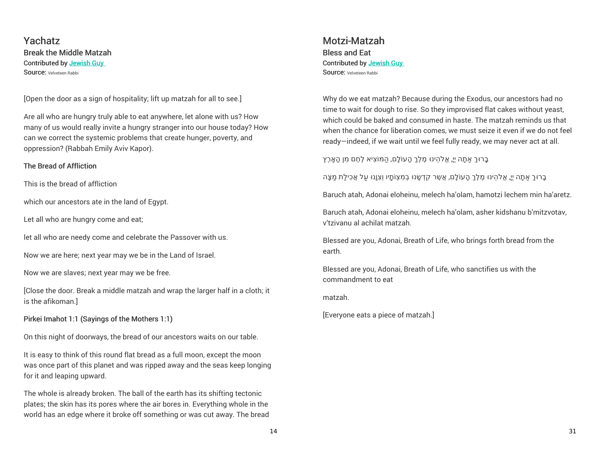Yachatz Break the Middle Matzah Contributed by Jewish Guy Source: Velveteen Rabbi

[Open the door as a sign of hospitality; lift up matzah for all to see.]

Are all who are hungry truly able to eat anywhere, let alone with us? How many of us would really invite a hungry stranger into our house today? How can we correct the systemic problems that create hunger, poverty, and oppression? (Rabbah Emily Aviv Kapor).

## The Bread of Affliction

This is the bread of affliction

which our ancestors ate in the land of Egypt.

Let all who are hungry come and eat;

let all who are needy come and celebrate the Passover with us.

Now we are here; next year may we be in the Land of Israel.

Now we are slaves; next year may we be free.

[Close the door. Break a middle matzah and wrap the larger half in a cloth; it is the afikoman.]

Pirkei Imahot 1:1 (Sayings of the Mothers 1:1)

On this night of doorways, the bread of our ancestors waits on our table.

It is easy to think of this round flat bread as a full moon, except the moon was once part of this planet and was ripped away and the seas keep longing for it and leaping upward.

The whole is already broken. The ball of the earth has its shifting tectonic plates; the skin has its pores where the air bores in. Everything whole in the world has an edge where it broke off something or was cut away. The bread Motzi-Matzah Bless and Eat Contributed by Jewish Guy Source: Velveteen Rabbi

Why do we eat matzah? Because during the Exodus, our ancestors had no time to wait for dough to rise. So they improvised flat cakes without yeast, which could be baked and consumed in haste. The matzah reminds us that when the chance for liberation comes, we must seize it even if we do not feel ready—indeed, if we wait until we feel fully ready, we may never act at all.

ָבְרוּךָ אֲתָה יֵי, אֱלֹהֶינוּ מֶלֶךְ הַעוֹלֵם, הַמּוֹצִיא לֶחֶם מִן הַאֲרֶץ

ָבְרוּךָ אתַה יֵי, אֱלֹהינוּ מֶלֶךְ הַעוֹלֵם, אֱשֶר קדָשֲנוּ בְמִצְוֹתַיו וְצוֵנוּ עַל אֱכִילֹת מַצֵּה

Baruch atah, Adonai eloheinu, melech ha'olam, hamotzi lechem min ha'aretz.

Baruch atah, Adonai eloheinu, melech ha'olam, asher kidshanu b'mitzvotav, v'tzivanu al achilat matzah.

Blessed are you, Adonai, Breath of Life, who brings forth bread from the earth.

Blessed are you, Adonai, Breath of Life, who sanctifies us with the commandment to eat

matzah.

[Everyone eats a piece of matzah.]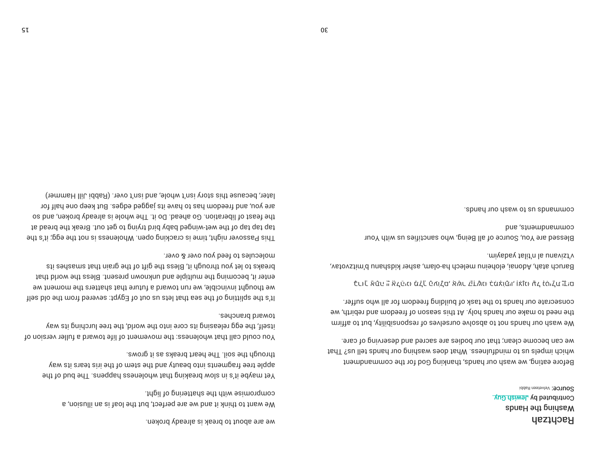# Source: Velveteen Rabbi Contributed by Jewish Guy **SbnsH** 9dt pnidzsW **Rachtzah**

we can become clean; that our bodies are sacred and deserving of care. that fell us? That in optidious. What does washing our hands tell us? That Before eating, we wash our hands, thanking God for the commandment

consecrate our hands to the task of building freedom for all who suffer. the need to make our hands holy. At this season of freedom and rebirth, we We wash our hands not to absolve ourselves of responsibility, but to affirm

َ כَٓٮَ كَ مَثَرَكَ ۥ ثَمْ لَا حِرْبَ لَهُ الْحَرْبَةِ مِنْ الْحَمْدِينَ مِنْ الْحَرْبَةِ الْحَرْبَة ب تحر أضرت ت

miyabay talit'n la unavist'v. Baruch atah, Adonai, eloheinu melech ha-olam, asher kidshanu b'mitzvotav,

pue 'sinembuemmoo Blessed are You, Source of all Being, who sanctifies us with Your

commands ns to wasp on t panet reset

 $\mathsf{S}\mathsf{L}$ 

we are about to break is already broken.

compromise with the shattering of light. We want to think it and we are perfect, but the loaf is an illusion, a

e worp the soil. The heart breaks as it grows. yow at is the free tragments into beauty and the reate in the iris tears its way 9dt ho bud 9dT .ansqqsd asenelodw tsht pnixlestd wola ni a'ti 9dvsm tsY

toward branches. itself, the egg releasing its core into the world, the tree lurching its way You could call that wholeness: the movement of life toward a fuller version of

molecules to feed you over & over. breaks to let you through it, Bless the gift of the grain that and as its enter it, becoming the multiple and unknown present. Bless the world that we thought invincible, we run toward a future that shatters the moment we It's the splitting of the sea that lets us out of Egypt: severed from the old self

later, because this story isn't whole, and isn't over. (Rabbi Jill Hammer) are you, and freedom has to have its jagged edges. But keep one half for the feast of liberation. Go ahead. Do it. The whole is already broken, and so ta basid sht kesid .tuo teg ot pnivit biid vdad begniw-tew sht to qat qat qat This Passover night, time is cracking open. Wholeness is not the egg; it's the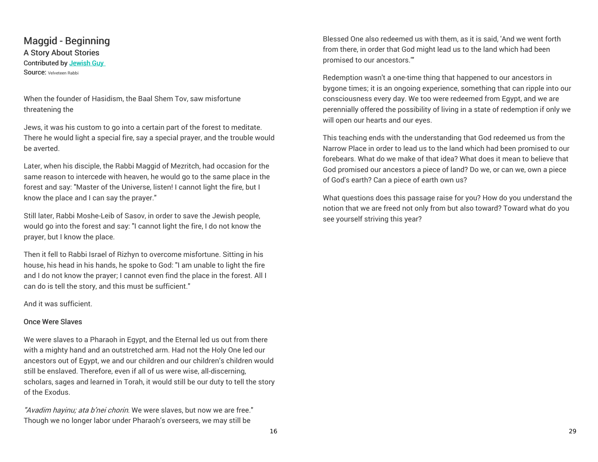# Maggid - Beginning A Story About Stories Contributed by Jewish Guy Source: Velveteen Rabbi

When the founder of Hasidism, the Baal Shem Tov, saw misfortune threatening the

Jews, it was his custom to go into a certain part of the forest to meditate. There he would light a special fire, say a special prayer, and the trouble would be averted.

Later, when his disciple, the Rabbi Maggid of Mezritch, had occasion for the same reason to intercede with heaven, he would go to the same place in the forest and say: "Master of the Universe, listen! I cannot light the fire, but I know the place and I can say the prayer."

Still later, Rabbi Moshe-Leib of Sasov, in order to save the Jewish people, would go into the forest and say: "I cannot light the fire, I do not know the prayer, but I know the place.

Then it fell to Rabbi Israel of Rizhyn to overcome misfortune. Sitting in his house, his head in his hands, he spoke to God: "I am unable to light the fire and I do not know the prayer; I cannot even find the place in the forest. All I can do is tell the story, and this must be sufficient."

And it was sufficient.

### Once Were Slaves

We were slaves to a Pharaoh in Egypt, and the Eternal led us out from there with a mighty hand and an outstretched arm. Had not the Holy One led our ancestors out of Egypt, we and our children and our children's children would still be enslaved. Therefore, even if all of us were wise, all-discerning, scholars, sages and learned in Torah, it would still be our duty to tell the story of the Exodus.

"Avadim hayinu; ata b'nei chorin. We were slaves, but now we are free." Though we no longer labor under Pharaoh's overseers, we may still be

Blessed One also redeemed us with them, as it is said, 'And we went forth from there, in order that God might lead us to the land which had been promised to our ancestors.'"

Redemption wasn't a one-time thing that happened to our ancestors in bygone times; it is an ongoing experience, something that can ripple into our consciousness every day. We too were redeemed from Egypt, and we are perennially offered the possibility of living in a state of redemption if only we will open our hearts and our eyes.

This teaching ends with the understanding that God redeemed us from the Narrow Place in order to lead us to the land which had been promised to our forebears. What do we make of that idea? What does it mean to believe that God promised our ancestors a piece of land? Do we, or can we, own a piece of God's earth? Can a piece of earth own us?

What questions does this passage raise for you? How do you understand the notion that we are freed not only from but also toward? Toward what do you see yourself striving this year?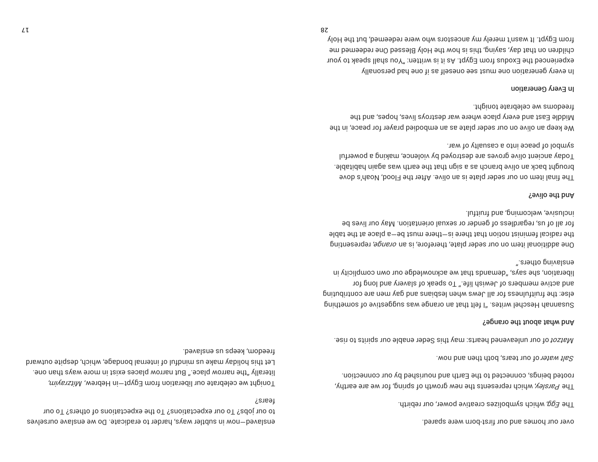over our homes and our first-born were spared.

The  $E$ gg, which symbolizes creative power, our rebirth.

rooted beings, connected to the Earth and nourished by our connection. The Parsley, which represents the new growth of spring, for we are earthy,

Salt water of our tears, both then and now.

Analogical our unleavened hearts: may this Seder enable our spirits to rise.

## **Sepnane and the orange?**

enslaving others." Ilberation, she says, "demands that we acknowledge our own complicity in and active members of Jewish life." To speak of slavery and long for else: the fruitfulness for all Jews when lesbians and gay men are contributing Suidtemos to evites. "I felt that an orange was suggestive of something

intitum bas (primoolew avisuloni for all of us, regardless of gender or sexual orientation. May our lives be the radical feminist notion that there is -there must be -a place at the table One additional item on our seder plate, therefore, is an *orange*, representing

## Savilo edt bnA

symbol of peace into a casualty of war. Today ancient olive groves are destroyed by violence, making a powerful brought back an olive branch as a sign that the earth was again habitable. The final item on our seder plate is an olive. After the Flood, Noah's dove

freedoms we celebrate tonight. Middle East and every place where war destroys lives, hopes, and the We keep an olive on our seder plate as an embodied prayer for peace, in the

## In Every Generation

from Egypt. It wasn't merely my ancestors who were redeemed, but the Holy shildren on that day, saying, this is how the Holy Blessed One redeemed me experienced the Exodus from Egypt. As it is written: "You shall speak to your lh every generation one must see oneself as if one had personally

fears? to our jobs? To our expectations? To the expectations of others? To our enslaved-now in subtler ways, harder to eradicate. Do we enslave ourselves

freedom, keeps us enslaved. Let this holiday make us mindful of internal bondage, which, despite outward . ano nart ayaw shom ni taixa asaalq wornan tud ". soalq wornan sht" yllarstil Tonight we celebrate our liberation from Egypt-in Hebrew, Mitzrayim,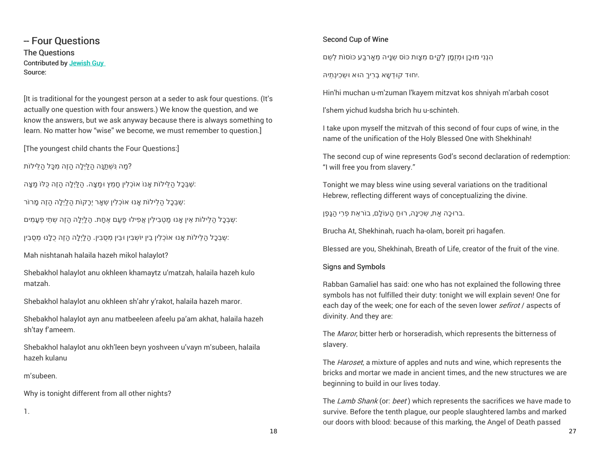# - Four Questions The Questions Contributed by Jewish Guy Source:

[It is traditional for the youngest person at a seder to ask four questions. (It's actually one question with four answers.) We know the question, and we know the answers, but we ask anyway because there is always something to learn. No matter how "wise" we become, we must remember to question.]

[The youngest child chants the Four Questions:]

ָ?מה נּשׁתַנּה הליִלה הזֶה מכּל הלילות

ְשֶׁ בְּכַל הלילות אַנו אוכלין חַמץ וּמצַה. הליִלַה הזֶה כָּלוֹ מצַה:

: ֶשבְכָל ַהלֵיל ֹות ָאנוּ א ֹוכְלִין ְש ָאר י ְרָק ֹות ַהלַי ְלָה ַהזֶה ָמר ֹור

: ֶשבְכָל ַהלֵיל ֹות ֵאין ָאנוּ ַמ ְטבִילִין ֲאפִילוּ פַ ַעם ֶא ָחת. ַהלַי ְלָה ַהזֶה ְשתֵי פְ ָע ִמים

: ֶשבְכָל ַהלֵיל ֹות ָאנוּ א ֹוכְלִין בֵין י ֹו ְשבִין וּבֵין ְמֻסבִין. ַהלַי ְלָה ַהזֶה כֻלָנוּ ְמֻסבִין

Mah nishtanah halaila hazeh mikol halaylot?

Shebakhol halaylot anu okhleen khamaytz u'matzah, halaila hazeh kulo matzah.

Shebakhol halaylot anu okhleen sh'ahr y'rakot, halaila hazeh maror.

Shebakhol halaylot ayn anu matbeeleen afeelu pa'am akhat, halaila hazeh sh'tay f'ameem.

Shebakhol halaylot anu okh'leen beyn yoshveen u'vayn m'subeen, halaila hazeh kulanu

m'subeen.

1.

Why is tonight different from all other nights?

#### Second Cup of Wine

הנְנִי מוּכֵן וּמִזַמן לִקיִּם מִצְות כּוֹס שְנֵיּה מַאָרבַע כּוֹסוֹת לִשם

.יִחוּד קוּ ְד ָשא בְרִיךְהוּא וּ ְשכִינְתֵיהּ

Hin'hi muchan u-m'zuman l'kayem mitzvat kos shniyah m'arbah cosot

l'shem yichud kudsha brich hu u-schinteh.

I take upon myself the mitzvah of this second of four cups of wine, in the name of the unification of the Holy Blessed One with Shekhinah!

The second cup of wine represents God's second declaration of redemption: "I will free you from slavery."

Tonight we may bless wine using several variations on the traditional Hebrew, reflecting different ways of conceptualizing the divine.

ברוּכָה אַת, שְכִינָה, רוּחַ הָעוֹלָם, בוֹראֵת פְרִי הַגָּפֶן.

Brucha At, Shekhinah, ruach ha-olam, boreit pri hagafen.

Blessed are you, Shekhinah, Breath of Life, creator of the fruit of the vine.

### Signs and Symbols

Rabban Gamaliel has said: one who has not explained the following three symbols has not fulfilled their duty: tonight we will explain seven! One for each day of the week; one for each of the seven lower sefirot / aspects of divinity. And they are:

The Maror, bitter herb or horseradish, which represents the bitterness of slavery.

The *Haroset*, a mixture of apples and nuts and wine, which represents the bricks and mortar we made in ancient times, and the new structures we are beginning to build in our lives today.

The Lamb Shank (or: beet) which represents the sacrifices we have made to survive. Before the tenth plague, our people slaughtered lambs and marked our doors with blood: because of this marking, the Angel of Death passed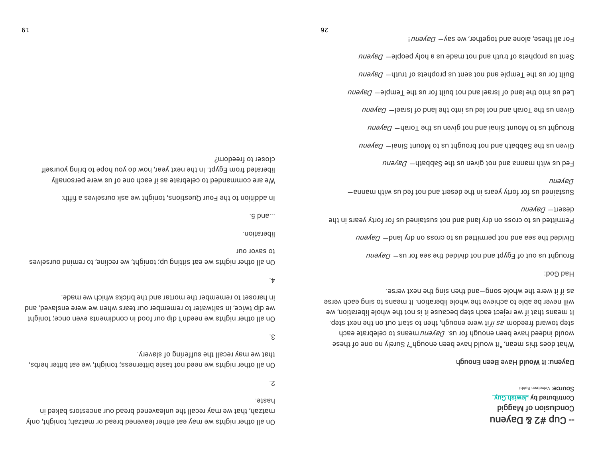$-$  cnb  $\#S$   $\otimes$  payenu Conclusion of Maggie Contributed by Jewish Guy Source: Velveteen Rabbi

#### Dayenu: It Would Have Been Enough

what does this mean, "It would have been enough"? Surely on one of these wonjq indeed have been enough for us. Dayenu means to celebrate each . qəta txən ənt no tuo thata ot nənt dipuone ənəw ti i a sa mobeert brawot qəta It means that it we reject each date depare it is not the whole liberation, we will never be able to achieve the whole liberation. It means to sing each verse es if it were the whole song—and the using the next verse.

:pog pe<sub>H</sub>

Brought us out of Egypt and hot divided the sea for us— Dayenu

Divided the sea and not permitted us to cross on dry land  $-\rho$  payenu

Permitted us to rese on dry lang but of the reserved of supporty years in the  $nuə/eq$  — $\mu$ əsəp

Sustained us for forty years in the desert and hot be the with mannernuə eq

 $nu$ ang  $q$  —qteddes eqt su nevig tou bue equally an anna peq.

 $u$ iven as the Sabbath and hot brought us to Monus purport  $u$ 

Brought us to Mount Sinai and not given and Forah  $\rightarrow$  Dayenu

 $m$ ang span sa pap teu ni su pel tou pus del  $m$  and  $m$  and  $m$  and  $m$ 

Led us into the land of lsrael and hot built for us the Temple- Dayenu

Built for us the Temple and hor sent us prophets of truth  $\Box$  payenu

 $u$  and me bound you be used to position and  $u$  is a sum of  $u$  by  $u$  and  $u$  is near  $u$  is near  $u$  is near  $u$ 

For all these, alone and together, we say— Dayenu!

Qu all other nights we may eat either leavened bread or matzah; tonight, only matzah, that we may recall the unleavened bread our ancestors baked in .ətzah.

. 2

on all other nights we need not taste bitterness; tonight, we eat bitter herbs, that we may recall the suffering of slavery.

. 3

On all other nights we needh't dip our food in condiments even once; tonight we dip twice, in saltwater to remember our tears when we were ensiared, and in haroset to remember the mortar and the bricks which we made.

 $\mathbf{t}$ 

Seviesino buiting we eat sitting up; tonight, we recline, to remind ourselves to savor our

.noits19dil

..a bna...

In addition to the Four Questions, conight we ask ourselves a fifth:

We are commanded to celebrate as if each one of us were personally liberated from Egypt. In the next year, how do you hope to bring yourself closer to freedom?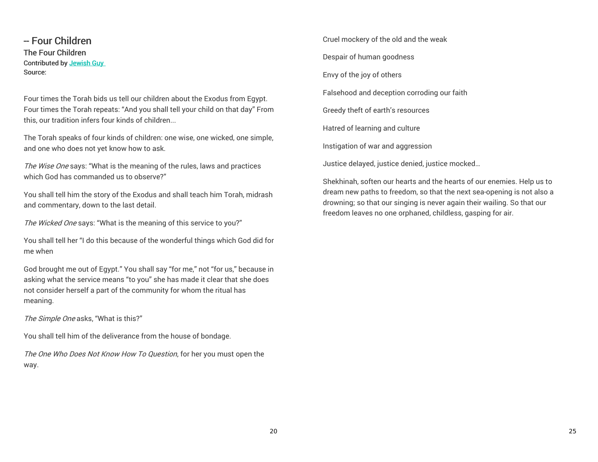# -- Four Children The Four Children Contributed by Jewish Guy Source:

Four times the Torah bids us tell our children about the Exodus from Egypt. Four times the Torah repeats: "And you shall tell your child on that day" From this, our tradition infers four kinds of children...

The Torah speaks of four kinds of children: one wise, one wicked, one simple, and one who does not yet know how to ask.

The Wise One says: "What is the meaning of the rules, laws and practices which God has commanded us to observe?"

You shall tell him the story of the Exodus and shall teach him Torah, midrash and commentary, down to the last detail.

The Wicked One says: "What is the meaning of this service to you?"

You shall tell her "I do this because of the wonderful things which God did for me when

God brought me out of Egypt." You shall say "for me," not "for us," because in asking what the service means "to you" she has made it clear that she does not consider herself a part of the community for whom the ritual has meaning.

The Simple One asks, "What is this?"

You shall tell him of the deliverance from the house of bondage.

The One Who Does Not Know How To Question, for her you must open the way.

Cruel mockery of the old and the weak

Despair of human goodness

Envy of the joy of others

Falsehood and deception corroding our faith

Greedy theft of earth's resources

Hatred of learning and culture

Instigation of war and aggression

Justice delayed, justice denied, justice mocked…

Shekhinah, soften our hearts and the hearts of our enemies. Help us to dream new paths to freedom, so that the next sea-opening is not also a drowning; so that our singing is never again their wailing. So that our freedom leaves no one orphaned, childless, gasping for air.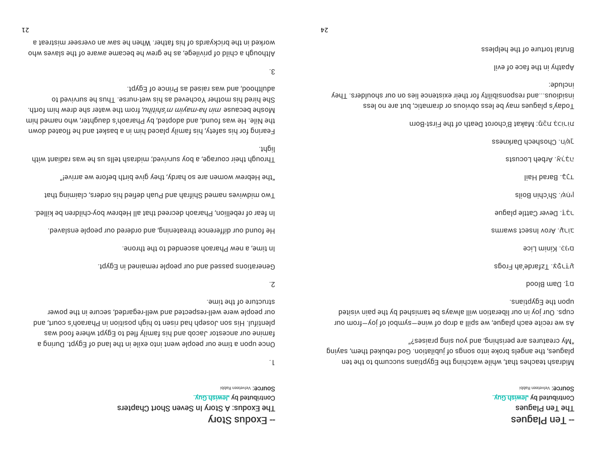Source: Velveteen Rabbi Contributed by Jewish Guy The Ten Plagues  $\mathsf{supp}_\mathsf{d}$  uə $\mathsf{1}-$ 

"ky creatures are perishing, and you sing praises?" plagues, the angels broke into songs of jubilation. God rebuked them, saying Midrash teaches that, while watching the Egyptians succumb to the ten

upon the Egyptians. betiain misq betwinding the liliw noiterial ino ni you not cups As we recite each plague, we spill a drop of wine-symbol of joy-from our

ateh Locusts וstau lisH bsisd .gcr pliod nino'ng . wn angale Cattle plague amiswe tosenl voiA .uric **D**<sup>1</sup>3. Kinim Lice versity. Tztarde'ah Frogs boola mad .pa

mod-teri- bdkat B'chorot Death of the First-Born

include: yeng and responsibility for their existence lies on our shoulders. They Today's plagues may be less obvious or dramatic, but are no less

live to esst edt ni vdtagA

asen Choshech Darkness

Brutal torture of the helpless

Source: Velveteen Rabbi Contributed by Jewish Guy The Exodus: A Story In Seven Short Chapters  $-$  Exoque Story

 $\cdot$ <sub>L</sub>

structure of the time. our people were well-respected and well-regarded, secure in the power plentitul His son Joseph had risen to high position in Pharaoh's court, and famine our ancestor Jacob and his family fled to Egypt where food was Once upon a time our people went into exile in the land of Egypt. During a

ح·

Generations passed and our people remained in Egypt.

ln time, a new Pharaob ascended to the throne.

He found our difference threatening, and ordered our people enslaved.

In fear of rebellion, Pharaoh decreed that all Hebrew boy-children be killed.

Two midwives named Shifrah and Puah defied his orders, claiming that

"the Hebrew women are so hardy, they give birth before we arrive!"

light. Through their courage, a boy survived; midrash tells us he was radiant with

adulthood, and was raised as Prince of Egypt. She hired his mother Yocheved as his wet-nurse. Thus he survived to Moshe because min hamayim m'shithu, from the water she drew him forth. the Nile. He was found, and adopted, by Pharaoh's daughter, who named him Fearing for his safety, his family placed him in a basket and he floated down

٠ε

worked in the brickyards of his father. When he saw an overseer mistreat a Although a child of privilege, as he grew he became aware of the slaves who